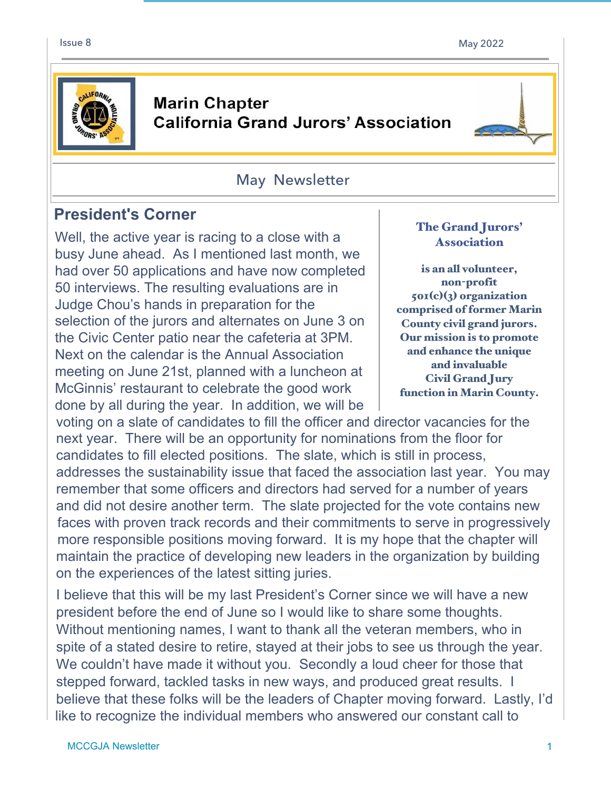

## **Marin Chapter California Grand Jurors' Association**

### May Newsletter

# **President's Corner**

Well, the active year is racing to a close with a busy June ahead. As I mentioned last month, we had over 50 applications and have now completed 50 interviews. The resulting evaluations are in Judge Chou's hands in preparation for the selection of the jurors and alternates on June 3 on the Civic Center patio near the cafeteria at 3PM. Next on the calendar is the Annual Association meeting on June 21st, planned with a luncheon at McGinnis' restaurant to celebrate the good work done by all during the year. In addition, we will be

#### The Grand Jurors' Association

is an all volunteer, non-profit 501(c)(3) organization comprised of former Marin County civil grand jurors. Our mission is to promote and enhance the unique and invaluable Civil Grand Jury function in Marin County.

voting on a slate of candidates to fill the officer and director vacancies for the next year. There will be an opportunity for nominations from the floor for candidates to fill elected positions. The slate, which is still in process, addresses the sustainability issue that faced the association last year. You may remember that some officers and directors had served for a number of years and did not desire another term. The slate projected for the vote contains new faces with proven track records and their commitments to serve in progressively more responsible positions moving forward. It is my hope that the chapter will maintain the practice of developing new leaders in the organization by building on the experiences of the latest sitting juries.

I believe that this will be my last President's Corner since we will have a new president before the end of June so I would like to share some thoughts. Without mentioning names, I want to thank all the veteran members, who in spite of a stated desire to retire, stayed at their jobs to see us through the year. We couldn't have made it without you. Secondly a loud cheer for those that stepped forward, tackled tasks in new ways, and produced great results. I believe that these folks will be the leaders of Chapter moving forward. Lastly, I'd like to recognize the individual members who answered our constant call to